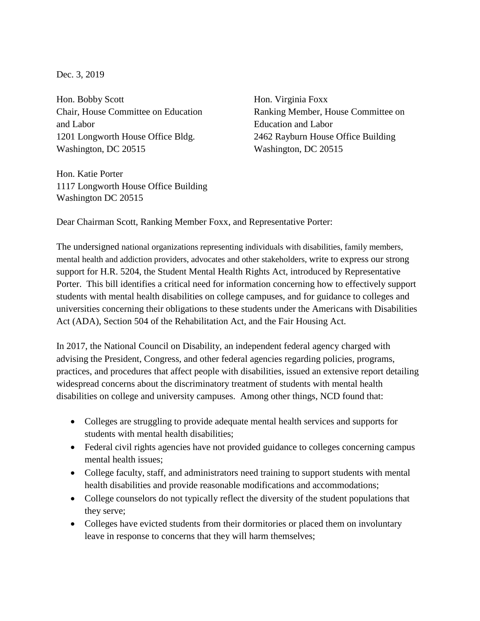## Dec. 3, 2019

Hon. Bobby Scott Hon. Virginia Foxx and Labor Education and Labor 1201 Longworth House Office Bldg. 2462 Rayburn House Office Building Washington, DC 20515 Washington, DC 20515

Chair, House Committee on Education Ranking Member, House Committee on

Hon. Katie Porter 1117 Longworth House Office Building Washington DC 20515

Dear Chairman Scott, Ranking Member Foxx, and Representative Porter:

The undersigned national organizations representing individuals with disabilities, family members, mental health and addiction providers, advocates and other stakeholders, write to express our strong support for H.R. 5204, the Student Mental Health Rights Act, introduced by Representative Porter. This bill identifies a critical need for information concerning how to effectively support students with mental health disabilities on college campuses, and for guidance to colleges and universities concerning their obligations to these students under the Americans with Disabilities Act (ADA), Section 504 of the Rehabilitation Act, and the Fair Housing Act.

In 2017, the National Council on Disability, an independent federal agency charged with advising the President, Congress, and other federal agencies regarding policies, programs, practices, and procedures that affect people with disabilities, issued an extensive report detailing widespread concerns about the discriminatory treatment of students with mental health disabilities on college and university campuses. Among other things, NCD found that:

- Colleges are struggling to provide adequate mental health services and supports for students with mental health disabilities;
- Federal civil rights agencies have not provided guidance to colleges concerning campus mental health issues;
- College faculty, staff, and administrators need training to support students with mental health disabilities and provide reasonable modifications and accommodations;
- College counselors do not typically reflect the diversity of the student populations that they serve;
- Colleges have evicted students from their dormitories or placed them on involuntary leave in response to concerns that they will harm themselves;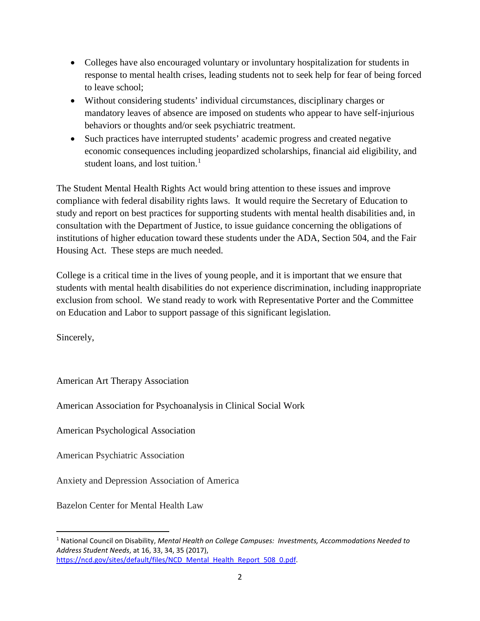- Colleges have also encouraged voluntary or involuntary hospitalization for students in response to mental health crises, leading students not to seek help for fear of being forced to leave school;
- Without considering students' individual circumstances, disciplinary charges or mandatory leaves of absence are imposed on students who appear to have self-injurious behaviors or thoughts and/or seek psychiatric treatment.
- Such practices have interrupted students' academic progress and created negative economic consequences including jeopardized scholarships, financial aid eligibility, and student loans, and lost tuition. [1](#page-1-0)

The Student Mental Health Rights Act would bring attention to these issues and improve compliance with federal disability rights laws. It would require the Secretary of Education to study and report on best practices for supporting students with mental health disabilities and, in consultation with the Department of Justice, to issue guidance concerning the obligations of institutions of higher education toward these students under the ADA, Section 504, and the Fair Housing Act. These steps are much needed.

College is a critical time in the lives of young people, and it is important that we ensure that students with mental health disabilities do not experience discrimination, including inappropriate exclusion from school. We stand ready to work with Representative Porter and the Committee on Education and Labor to support passage of this significant legislation.

Sincerely,

American Art Therapy Association

American Association for Psychoanalysis in Clinical Social Work

American Psychological Association

American Psychiatric Association

Anxiety and Depression Association of America

Bazelon Center for Mental Health Law

<span id="page-1-0"></span> <sup>1</sup> National Council on Disability, *Mental Health on College Campuses: Investments, Accommodations Needed to Address Student Needs*, at 16, 33, 34, 35 (2017), [https://ncd.gov/sites/default/files/NCD\\_Mental\\_Health\\_Report\\_508\\_0.pdf.](https://ncd.gov/sites/default/files/NCD_Mental_Health_Report_508_0.pdf)